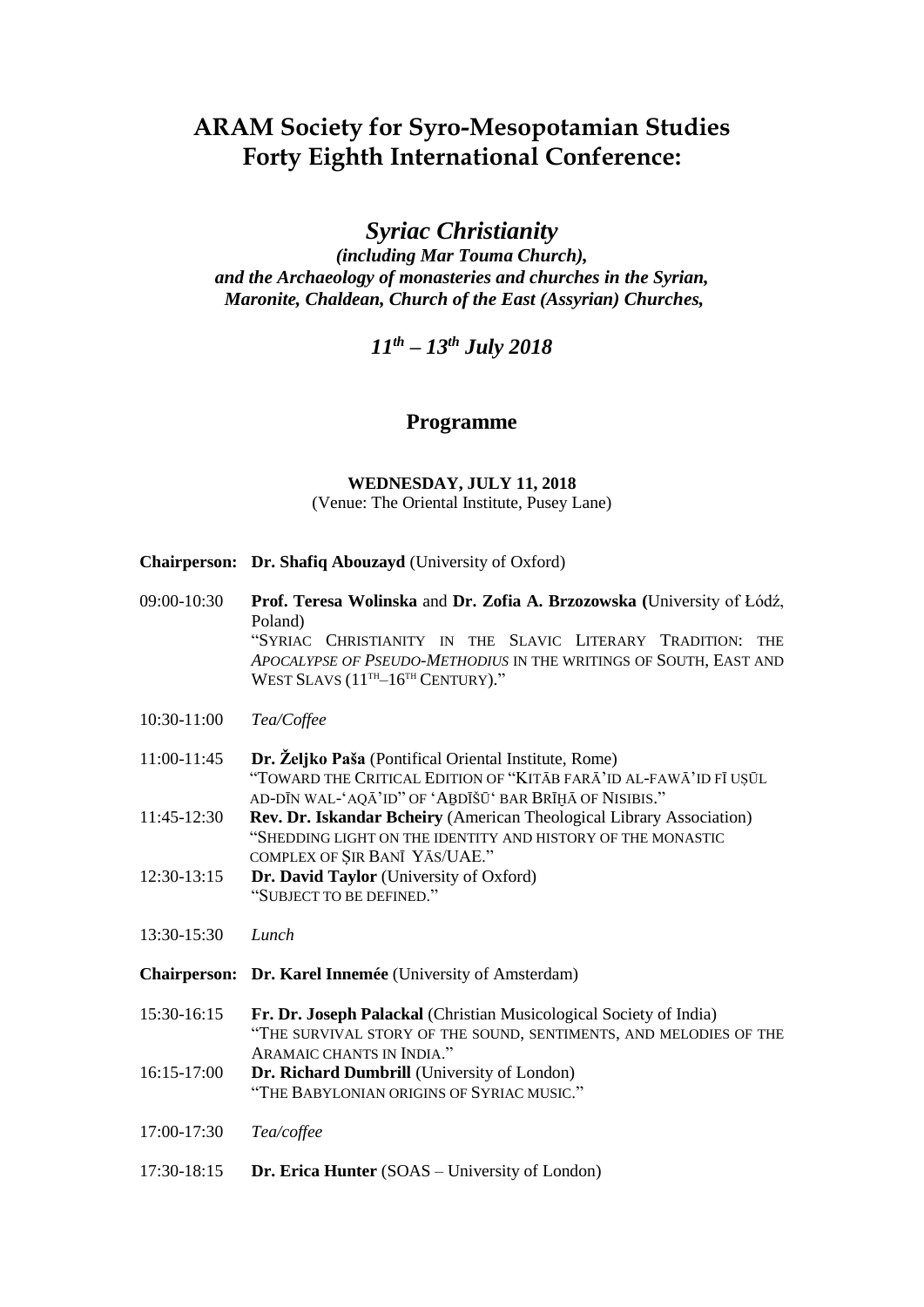# **ARAM Society for Syro-Mesopotamian Studies Forty Eighth International Conference:**

*Syriac Christianity*

*(including Mar Touma Church), and the Archaeology of monasteries and churches in the Syrian, Maronite, Chaldean, Church of the East (Assyrian) Churches,*

*11 th – 13 th July 2018*

### **Programme**

**WEDNESDAY, JULY 11, 2018** (Venue: The Oriental Institute, Pusey Lane)

- **Chairperson: Dr. Shafiq Abouzayd** (University of Oxford)
- 09:00-10:30 **Prof. Teresa Wolinska** and **Dr. Zofia A. Brzozowska (**University of Łódź, Poland) "SYRIAC CHRISTIANITY IN THE SLAVIC LITERARY TRADITION: THE *APOCALYPSE OF PSEUDO-METHODIUS* IN THE WRITINGS OF SOUTH, EAST AND WEST SLAVS (11<sup>TH</sup>-16<sup>TH</sup> CENTURY)."
- 10:30-11:00 *Tea/Coffee*
- 11:00-11:45 **Dr. Željko Paša** (Pontifical Oriental Institute, Rome) "TOWARD THE CRITICAL EDITION OF "KITĀB FARĀ'ID AL-FAWĀ'ID FĪ UṢŪL AD-DĪN WAL-'AOĀ'ID" OF 'ABDĪŠŪ' BAR BRĪHĀ OF NISIBIS."
- 11:45-12:30 **Rev. Dr. Iskandar Bcheiry** (American Theological Library Association) "SHEDDING LIGHT ON THE IDENTITY AND HISTORY OF THE MONASTIC COMPLEX OF ṢIR BANĪ YĀS/UAE."
- 12:30-13:15 **Dr. David Taylor** (University of Oxford) "SUBJECT TO BE DEFINED."
- 13:30-15:30 *Lunch*
- **Chairperson: Dr. Karel Innemée** (University of Amsterdam)
- 15:30-16:15 **Fr. Dr. Joseph Palackal** (Christian Musicological Society of India) "THE SURVIVAL STORY OF THE SOUND, SENTIMENTS, AND MELODIES OF THE ARAMAIC CHANTS IN INDIA."
- 16:15-17:00 **Dr. Richard Dumbrill** (University of London) "THE BABYLONIAN ORIGINS OF SYRIAC MUSIC."
- 17:00-17:30 *Tea/coffee*
- 17:30-18:15 **Dr. Erica Hunter** (SOAS University of London)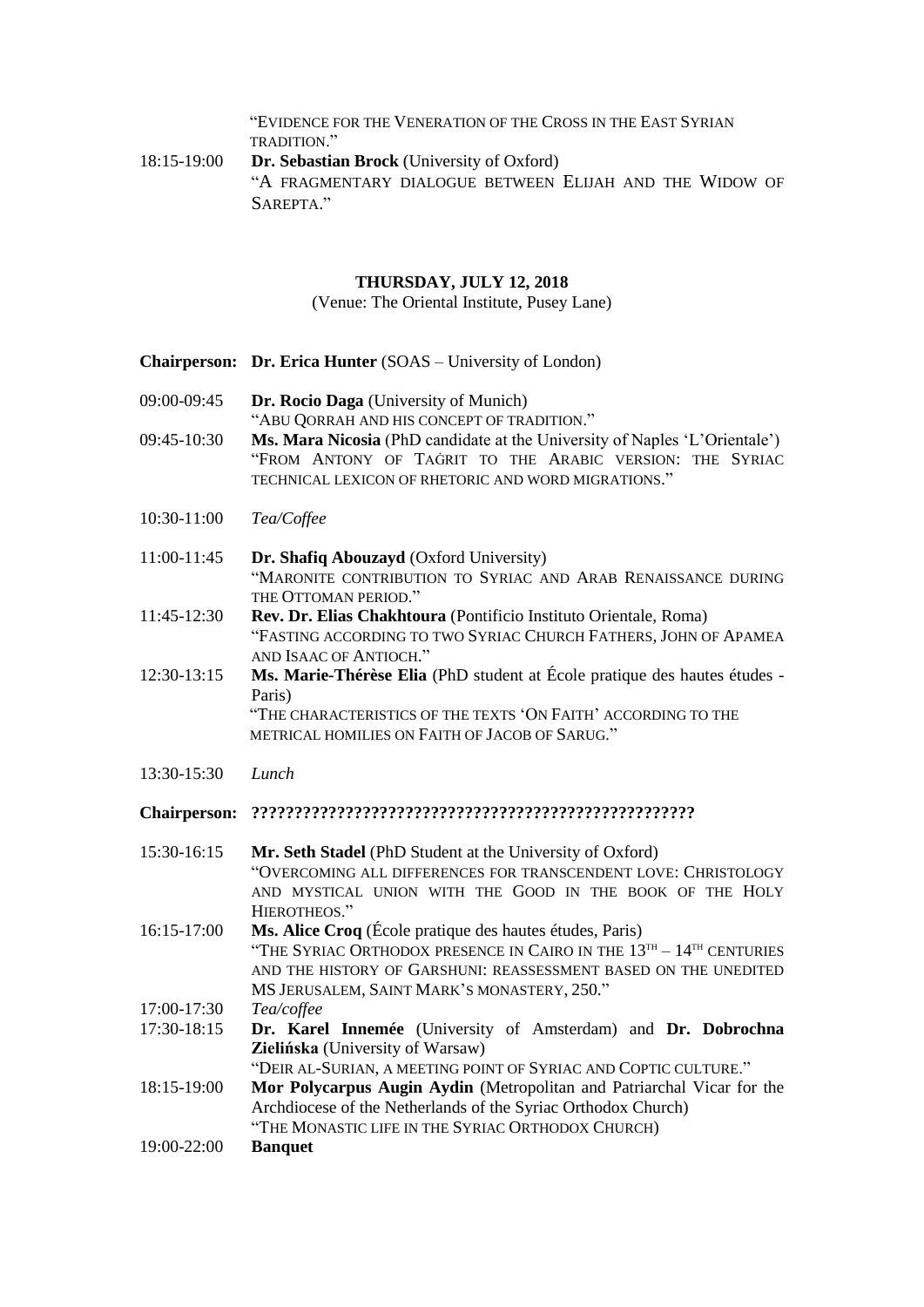"EVIDENCE FOR THE VENERATION OF THE CROSS IN THE EAST SYRIAN TRADITION."

18:15-19:00 **Dr. Sebastian Brock** (University of Oxford) "A FRAGMENTARY DIALOGUE BETWEEN ELIJAH AND THE WIDOW OF SAREPTA."

## **THURSDAY, JULY 12, 2018**

(Venue: The Oriental Institute, Pusey Lane)

|                     | <b>Chairperson: Dr. Erica Hunter</b> (SOAS – University of London)                                                                                                                                                                                        |
|---------------------|-----------------------------------------------------------------------------------------------------------------------------------------------------------------------------------------------------------------------------------------------------------|
| 09:00-09:45         | Dr. Rocio Daga (University of Munich)<br>"ABU QORRAH AND HIS CONCEPT OF TRADITION."                                                                                                                                                                       |
| 09:45-10:30         | Ms. Mara Nicosia (PhD candidate at the University of Naples 'L'Orientale')<br>"FROM ANTONY OF TAGRIT TO THE ARABIC VERSION: THE SYRIAC<br>TECHNICAL LEXICON OF RHETORIC AND WORD MIGRATIONS."                                                             |
| 10:30-11:00         | Tea/Coffee                                                                                                                                                                                                                                                |
| 11:00-11:45         | Dr. Shafiq Abouzayd (Oxford University)<br>"MARONITE CONTRIBUTION TO SYRIAC AND ARAB RENAISSANCE DURING<br>THE OTTOMAN PERIOD."                                                                                                                           |
| 11:45-12:30         | Rev. Dr. Elias Chakhtoura (Pontificio Instituto Orientale, Roma)<br>"FASTING ACCORDING TO TWO SYRIAC CHURCH FATHERS, JOHN OF APAMEA<br>AND ISAAC OF ANTIOCH."                                                                                             |
| 12:30-13:15         | Ms. Marie-Thérèse Elia (PhD student at École pratique des hautes études -<br>Paris)<br>"THE CHARACTERISTICS OF THE TEXTS 'ON FAITH' ACCORDING TO THE<br>METRICAL HOMILIES ON FAITH OF JACOB OF SARUG."                                                    |
| 13:30-15:30         | Lunch                                                                                                                                                                                                                                                     |
| <b>Chairperson:</b> |                                                                                                                                                                                                                                                           |
| 15:30-16:15         | Mr. Seth Stadel (PhD Student at the University of Oxford)<br>"OVERCOMING ALL DIFFERENCES FOR TRANSCENDENT LOVE: CHRISTOLOGY<br>AND MYSTICAL UNION WITH THE GOOD IN THE BOOK OF THE HOLY<br>HIEROTHEOS."                                                   |
| 16:15-17:00         | Ms. Alice Croq (École pratique des hautes études, Paris)<br>"THE SYRIAC ORTHODOX PRESENCE IN CAIRO IN THE $13^{TH} - 14^{TH}$ CENTURIES<br>AND THE HISTORY OF GARSHUNI: REASSESSMENT BASED ON THE UNEDITED<br>MS JERUSALEM, SAINT MARK'S MONASTERY, 250." |
| 17:00-17:30         | Tea/coffee                                                                                                                                                                                                                                                |
| 17:30-18:15         | Dr. Karel Innemée (University of Amsterdam) and Dr. Dobrochna<br>Zielińska (University of Warsaw)<br>"DEIR AL-SURIAN, A MEETING POINT OF SYRIAC AND COPTIC CULTURE."                                                                                      |
| 18:15-19:00         | Mor Polycarpus Augin Aydin (Metropolitan and Patriarchal Vicar for the<br>Archdiocese of the Netherlands of the Syriac Orthodox Church)<br>"THE MONASTIC LIFE IN THE SYRIAC ORTHODOX CHURCH)                                                              |
| 19:00-22:00         | <b>Banquet</b>                                                                                                                                                                                                                                            |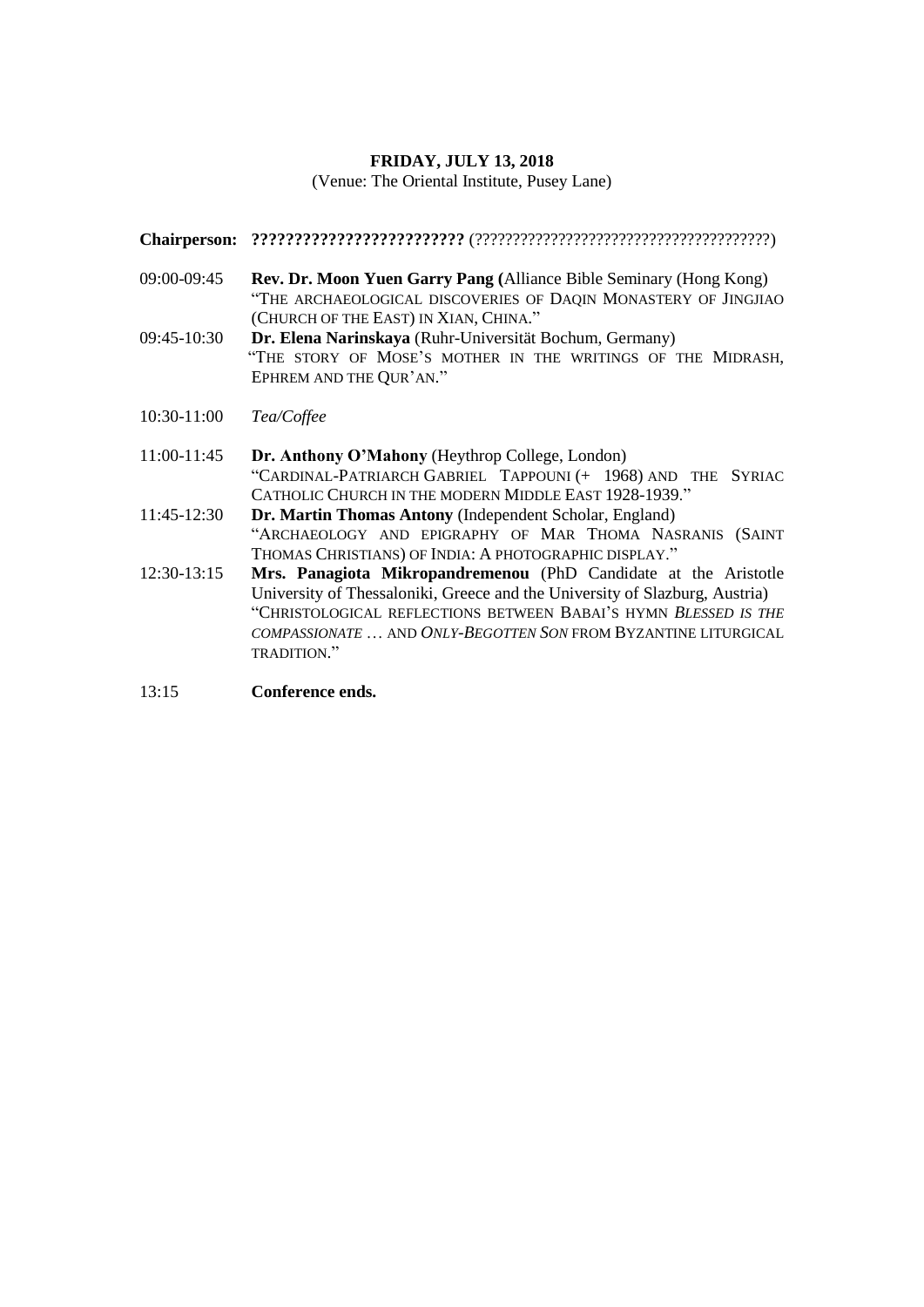#### **FRIDAY, JULY 13, 2018**

(Venue: The Oriental Institute, Pusey Lane)

**Chairperson: ?????????????????????????** (???????????????????????????????????????)

- 09:00-09:45 **Rev. Dr. Moon Yuen Garry Pang (**Alliance Bible Seminary (Hong Kong) "THE ARCHAEOLOGICAL DISCOVERIES OF DAQIN MONASTERY OF JINGJIAO (CHURCH OF THE EAST) IN XIAN, CHINA."
- 09:45-10:30 **Dr. Elena Narinskaya** (Ruhr-Universität Bochum, Germany) "THE STORY OF MOSE'S MOTHER IN THE WRITINGS OF THE MIDRASH, EPHREM AND THE QUR'AN."
- 10:30-11:00 *Tea/Coffee*
- 11:00-11:45 **Dr. Anthony O'Mahony** (Heythrop College, London) "CARDINAL-PATRIARCH GABRIEL TAPPOUNI (+ 1968) AND THE SYRIAC CATHOLIC CHURCH IN THE MODERN MIDDLE EAST 1928-1939."
- 11:45-12:30 **Dr. Martin Thomas Antony** (Independent Scholar, England) "ARCHAEOLOGY AND EPIGRAPHY OF MAR THOMA NASRANIS (SAINT THOMAS CHRISTIANS) OF INDIA: A PHOTOGRAPHIC DISPLAY."
- 12:30-13:15 **Mrs. Panagiota Mikropandremenou** (PhD Candidate at the Aristotle University of Thessaloniki, Greece and the University of Slazburg, Austria) "CHRISTOLOGICAL REFLECTIONS BETWEEN BABAI'S HYMN *BLESSED IS THE COMPASSIONATE* … AND *ONLY-BEGOTTEN SON* FROM BYZANTINE LITURGICAL TRADITION."

13:15 **Conference ends.**